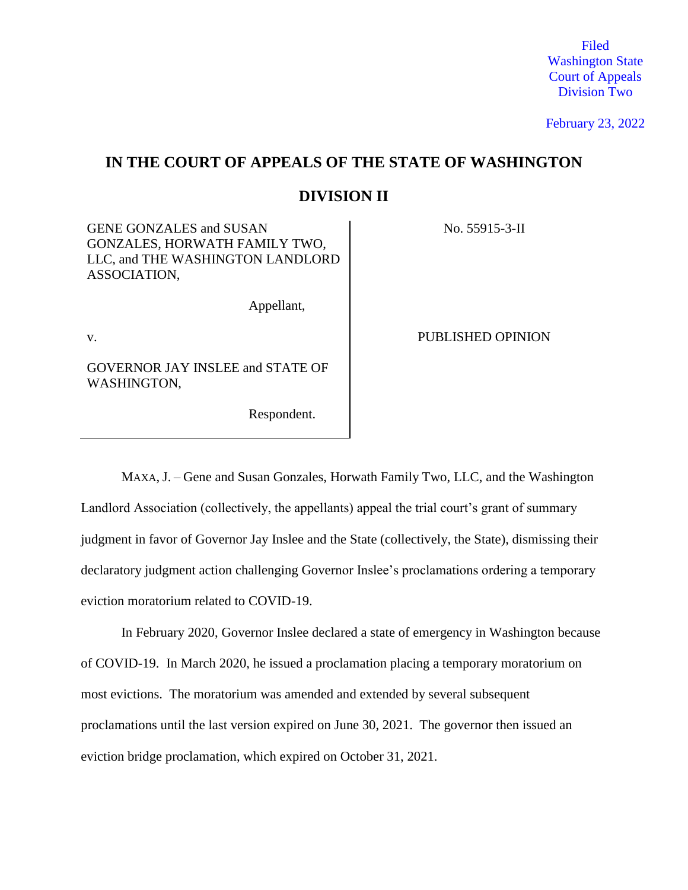Filed Washington State Court of Appeals Division Two

February 23, 2022

# **IN THE COURT OF APPEALS OF THE STATE OF WASHINGTON DIVISION II**

GENE GONZALES and SUSAN GONZALES, HORWATH FAMILY TWO, LLC, and THE WASHINGTON LANDLORD ASSOCIATION,

Appellant,

GOVERNOR JAY INSLEE and STATE OF WASHINGTON,

Respondent.

v.

No. 55915-3-II

MAXA, J. – Gene and Susan Gonzales, Horwath Family Two, LLC, and the Washington Landlord Association (collectively, the appellants) appeal the trial court's grant of summary judgment in favor of Governor Jay Inslee and the State (collectively, the State), dismissing their declaratory judgment action challenging Governor Inslee's proclamations ordering a temporary eviction moratorium related to COVID-19.

In February 2020, Governor Inslee declared a state of emergency in Washington because of COVID-19. In March 2020, he issued a proclamation placing a temporary moratorium on most evictions. The moratorium was amended and extended by several subsequent proclamations until the last version expired on June 30, 2021. The governor then issued an eviction bridge proclamation, which expired on October 31, 2021.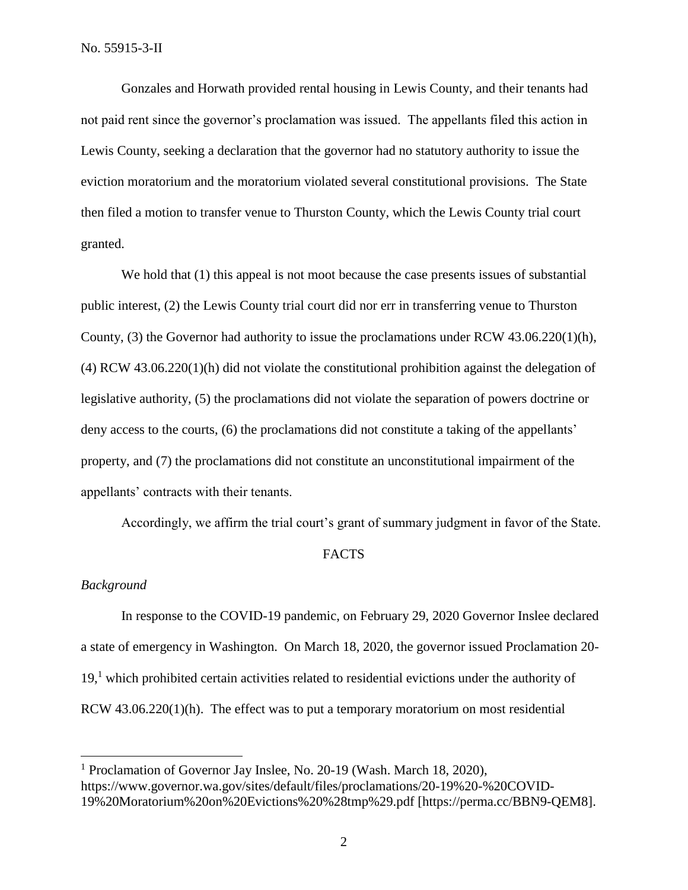Gonzales and Horwath provided rental housing in Lewis County, and their tenants had not paid rent since the governor's proclamation was issued. The appellants filed this action in Lewis County, seeking a declaration that the governor had no statutory authority to issue the eviction moratorium and the moratorium violated several constitutional provisions. The State then filed a motion to transfer venue to Thurston County, which the Lewis County trial court granted.

We hold that  $(1)$  this appeal is not moot because the case presents issues of substantial public interest, (2) the Lewis County trial court did nor err in transferring venue to Thurston County, (3) the Governor had authority to issue the proclamations under RCW  $43.06.220(1)$ (h), (4) RCW 43.06.220(1)(h) did not violate the constitutional prohibition against the delegation of legislative authority, (5) the proclamations did not violate the separation of powers doctrine or deny access to the courts, (6) the proclamations did not constitute a taking of the appellants' property, and (7) the proclamations did not constitute an unconstitutional impairment of the appellants' contracts with their tenants.

Accordingly, we affirm the trial court's grant of summary judgment in favor of the State.

#### FACTS

#### *Background*

 $\overline{a}$ 

In response to the COVID-19 pandemic, on February 29, 2020 Governor Inslee declared a state of emergency in Washington. On March 18, 2020, the governor issued Proclamation 20- 19,<sup>1</sup> which prohibited certain activities related to residential evictions under the authority of RCW 43.06.220(1)(h). The effect was to put a temporary moratorium on most residential

<sup>&</sup>lt;sup>1</sup> Proclamation of Governor Jay Inslee, No. 20-19 (Wash. March 18, 2020), https://www.governor.wa.gov/sites/default/files/proclamations/20-19%20-%20COVID-19%20Moratorium%20on%20Evictions%20%28tmp%29.pdf [https://perma.cc/BBN9-QEM8].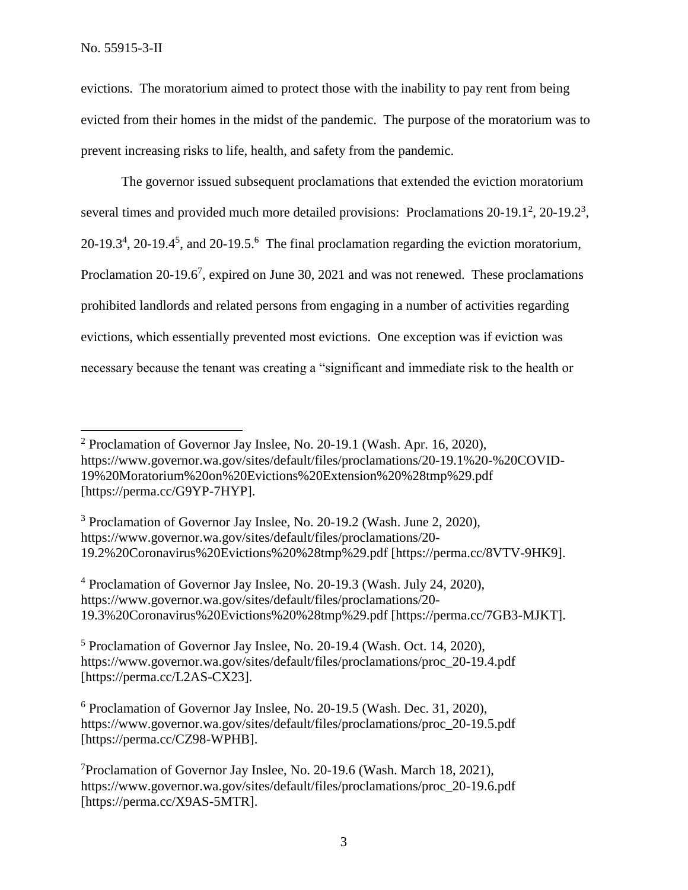evictions. The moratorium aimed to protect those with the inability to pay rent from being evicted from their homes in the midst of the pandemic. The purpose of the moratorium was to prevent increasing risks to life, health, and safety from the pandemic.

The governor issued subsequent proclamations that extended the eviction moratorium several times and provided much more detailed provisions: Proclamations  $20-19.1^2$ ,  $20-19.2^3$ ,  $20-19.3<sup>4</sup>$ ,  $20-19.4<sup>5</sup>$ , and  $20-19.5<sup>6</sup>$ . The final proclamation regarding the eviction moratorium, Proclamation 20-19.6<sup>7</sup>, expired on June 30, 2021 and was not renewed. These proclamations prohibited landlords and related persons from engaging in a number of activities regarding evictions, which essentially prevented most evictions. One exception was if eviction was necessary because the tenant was creating a "significant and immediate risk to the health or

<sup>2</sup> Proclamation of Governor Jay Inslee, No. 20-19.1 (Wash. Apr. 16, 2020), https://www.governor.wa.gov/sites/default/files/proclamations/20-19.1%20-%20COVID-19%20Moratorium%20on%20Evictions%20Extension%20%28tmp%29.pdf [https://perma.cc/G9YP-7HYP].

<sup>3</sup> Proclamation of Governor Jay Inslee, No. 20-19.2 (Wash. June 2, 2020), https://www.governor.wa.gov/sites/default/files/proclamations/20- 19.2%20Coronavirus%20Evictions%20%28tmp%29.pdf [https://perma.cc/8VTV-9HK9].

<sup>4</sup> Proclamation of Governor Jay Inslee, No. 20-19.3 (Wash. July 24, 2020), https://www.governor.wa.gov/sites/default/files/proclamations/20- 19.3%20Coronavirus%20Evictions%20%28tmp%29.pdf [https://perma.cc/7GB3-MJKT].

<sup>5</sup> Proclamation of Governor Jay Inslee, No. 20-19.4 (Wash. Oct. 14, 2020), https://www.governor.wa.gov/sites/default/files/proclamations/proc\_20-19.4.pdf [https://perma.cc/L2AS-CX23].

<sup>6</sup> Proclamation of Governor Jay Inslee, No. 20-19.5 (Wash. Dec. 31, 2020), https://www.governor.wa.gov/sites/default/files/proclamations/proc\_20-19.5.pdf [https://perma.cc/CZ98-WPHB].

<sup>7</sup>Proclamation of Governor Jay Inslee, No. 20-19.6 (Wash. March 18, 2021), https://www.governor.wa.gov/sites/default/files/proclamations/proc\_20-19.6.pdf [https://perma.cc/X9AS-5MTR].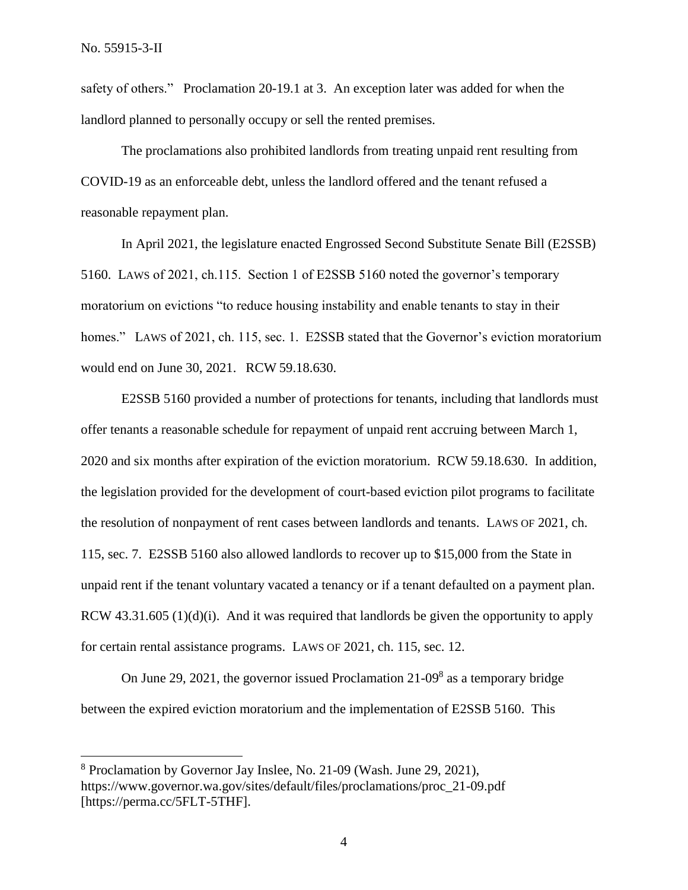safety of others." Proclamation 20-19.1 at 3. An exception later was added for when the landlord planned to personally occupy or sell the rented premises.

The proclamations also prohibited landlords from treating unpaid rent resulting from COVID-19 as an enforceable debt, unless the landlord offered and the tenant refused a reasonable repayment plan.

In April 2021, the legislature enacted Engrossed Second Substitute Senate Bill (E2SSB) 5160. LAWS of 2021, ch.115. Section 1 of E2SSB 5160 noted the governor's temporary moratorium on evictions "to reduce housing instability and enable tenants to stay in their homes." LAWS of 2021, ch. 115, sec. 1. E2SSB stated that the Governor's eviction moratorium would end on June 30, 2021. RCW 59.18.630.

E2SSB 5160 provided a number of protections for tenants, including that landlords must offer tenants a reasonable schedule for repayment of unpaid rent accruing between March 1, 2020 and six months after expiration of the eviction moratorium. RCW 59.18.630. In addition, the legislation provided for the development of court-based eviction pilot programs to facilitate the resolution of nonpayment of rent cases between landlords and tenants. LAWS OF 2021, ch. 115, sec. 7. E2SSB 5160 also allowed landlords to recover up to \$15,000 from the State in unpaid rent if the tenant voluntary vacated a tenancy or if a tenant defaulted on a payment plan. RCW 43.31.605 (1)(d)(i). And it was required that landlords be given the opportunity to apply for certain rental assistance programs. LAWS OF 2021, ch. 115, sec. 12.

On June 29, 2021, the governor issued Proclamation  $21{\text -}09^8$  as a temporary bridge between the expired eviction moratorium and the implementation of E2SSB 5160. This

<sup>8</sup> Proclamation by Governor Jay Inslee, No. 21-09 (Wash. June 29, 2021), https://www.governor.wa.gov/sites/default/files/proclamations/proc\_21-09.pdf [https://perma.cc/5FLT-5THF].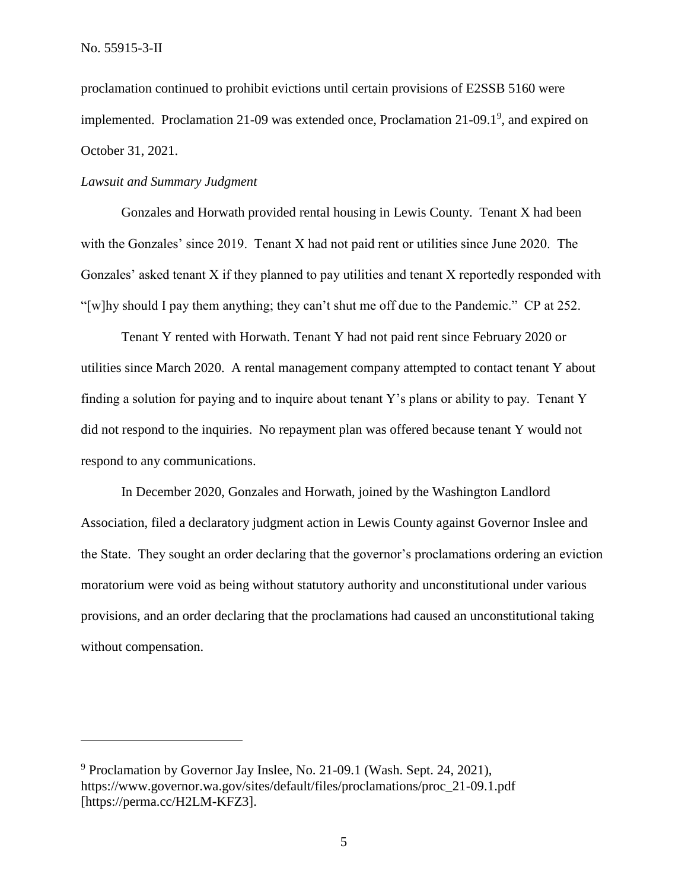proclamation continued to prohibit evictions until certain provisions of E2SSB 5160 were implemented. Proclamation 21-09 was extended once, Proclamation  $21-09.1^9$ , and expired on October 31, 2021.

#### *Lawsuit and Summary Judgment*

Gonzales and Horwath provided rental housing in Lewis County. Tenant X had been with the Gonzales' since 2019. Tenant X had not paid rent or utilities since June 2020. The Gonzales' asked tenant X if they planned to pay utilities and tenant X reportedly responded with "[w]hy should I pay them anything; they can't shut me off due to the Pandemic." CP at 252.

Tenant Y rented with Horwath. Tenant Y had not paid rent since February 2020 or utilities since March 2020. A rental management company attempted to contact tenant Y about finding a solution for paying and to inquire about tenant Y's plans or ability to pay. Tenant Y did not respond to the inquiries. No repayment plan was offered because tenant Y would not respond to any communications.

In December 2020, Gonzales and Horwath, joined by the Washington Landlord Association, filed a declaratory judgment action in Lewis County against Governor Inslee and the State. They sought an order declaring that the governor's proclamations ordering an eviction moratorium were void as being without statutory authority and unconstitutional under various provisions, and an order declaring that the proclamations had caused an unconstitutional taking without compensation.

<sup>9</sup> Proclamation by Governor Jay Inslee, No. 21-09.1 (Wash. Sept. 24, 2021), https://www.governor.wa.gov/sites/default/files/proclamations/proc\_21-09.1.pdf [https://perma.cc/H2LM-KFZ3].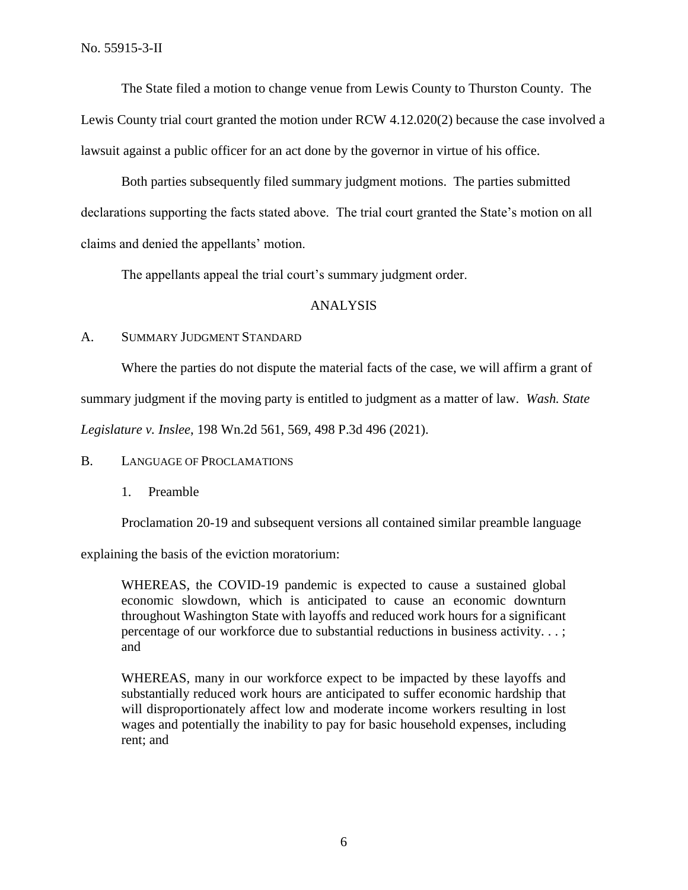The State filed a motion to change venue from Lewis County to Thurston County. The Lewis County trial court granted the motion under RCW 4.12.020(2) because the case involved a lawsuit against a public officer for an act done by the governor in virtue of his office.

Both parties subsequently filed summary judgment motions. The parties submitted declarations supporting the facts stated above. The trial court granted the State's motion on all claims and denied the appellants' motion.

The appellants appeal the trial court's summary judgment order.

#### ANALYSIS

#### A. SUMMARY JUDGMENT STANDARD

Where the parties do not dispute the material facts of the case, we will affirm a grant of

summary judgment if the moving party is entitled to judgment as a matter of law. *Wash. State* 

*Legislature v. Inslee*, 198 Wn.2d 561, 569, 498 P.3d 496 (2021).

#### B. LANGUAGE OF PROCLAMATIONS

1. Preamble

Proclamation 20-19 and subsequent versions all contained similar preamble language

explaining the basis of the eviction moratorium:

WHEREAS, the COVID-19 pandemic is expected to cause a sustained global economic slowdown, which is anticipated to cause an economic downturn throughout Washington State with layoffs and reduced work hours for a significant percentage of our workforce due to substantial reductions in business activity. . . ; and

WHEREAS, many in our workforce expect to be impacted by these layoffs and substantially reduced work hours are anticipated to suffer economic hardship that will disproportionately affect low and moderate income workers resulting in lost wages and potentially the inability to pay for basic household expenses, including rent; and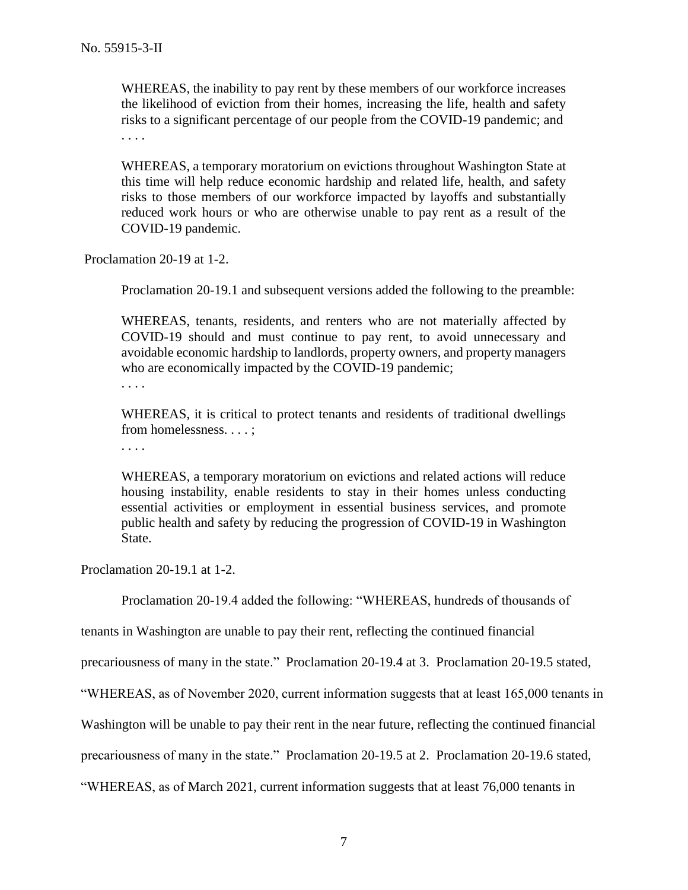WHEREAS, the inability to pay rent by these members of our workforce increases the likelihood of eviction from their homes, increasing the life, health and safety risks to a significant percentage of our people from the COVID-19 pandemic; and . . . .

WHEREAS, a temporary moratorium on evictions throughout Washington State at this time will help reduce economic hardship and related life, health, and safety risks to those members of our workforce impacted by layoffs and substantially reduced work hours or who are otherwise unable to pay rent as a result of the COVID-19 pandemic.

Proclamation 20-19 at 1-2.

Proclamation 20-19.1 and subsequent versions added the following to the preamble:

WHEREAS, tenants, residents, and renters who are not materially affected by COVID-19 should and must continue to pay rent, to avoid unnecessary and avoidable economic hardship to landlords, property owners, and property managers who are economically impacted by the COVID-19 pandemic;

. . . .

WHEREAS, it is critical to protect tenants and residents of traditional dwellings from homelessness. . . . ;

. . . .

WHEREAS, a temporary moratorium on evictions and related actions will reduce housing instability, enable residents to stay in their homes unless conducting essential activities or employment in essential business services, and promote public health and safety by reducing the progression of COVID-19 in Washington State.

Proclamation 20-19.1 at 1-2.

Proclamation 20-19.4 added the following: "WHEREAS, hundreds of thousands of

tenants in Washington are unable to pay their rent, reflecting the continued financial

precariousness of many in the state." Proclamation 20-19.4 at 3. Proclamation 20-19.5 stated,

"WHEREAS, as of November 2020, current information suggests that at least 165,000 tenants in

Washington will be unable to pay their rent in the near future, reflecting the continued financial

precariousness of many in the state." Proclamation 20-19.5 at 2. Proclamation 20-19.6 stated,

"WHEREAS, as of March 2021, current information suggests that at least 76,000 tenants in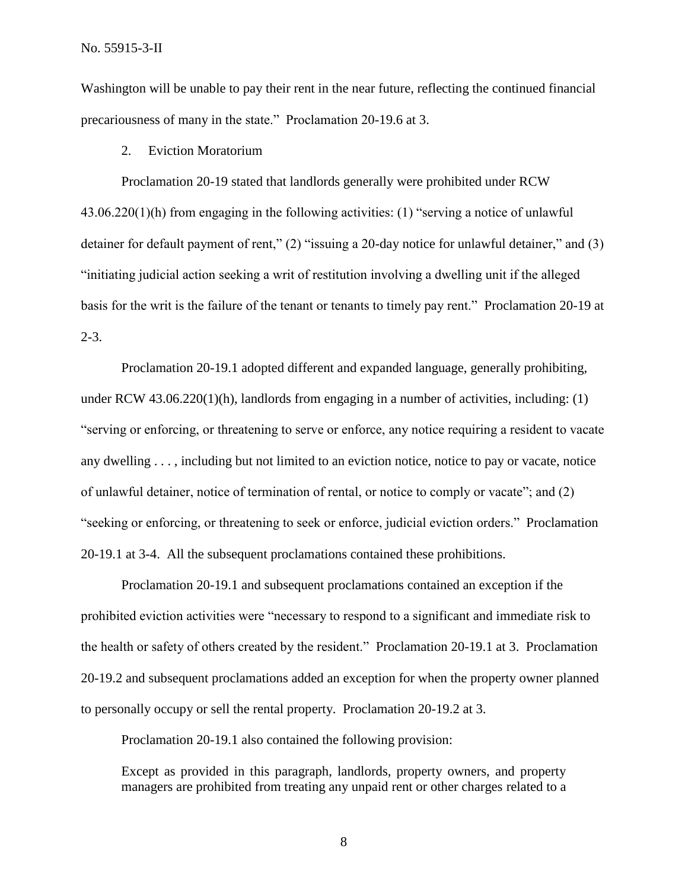No. 55915-3-II

Washington will be unable to pay their rent in the near future, reflecting the continued financial precariousness of many in the state." Proclamation 20-19.6 at 3.

2. Eviction Moratorium

Proclamation 20-19 stated that landlords generally were prohibited under RCW 43.06.220(1)(h) from engaging in the following activities: (1) "serving a notice of unlawful detainer for default payment of rent," (2) "issuing a 20-day notice for unlawful detainer," and (3) "initiating judicial action seeking a writ of restitution involving a dwelling unit if the alleged basis for the writ is the failure of the tenant or tenants to timely pay rent." Proclamation 20-19 at 2-3.

Proclamation 20-19.1 adopted different and expanded language, generally prohibiting, under RCW 43.06.220(1)(h), landlords from engaging in a number of activities, including: (1) "serving or enforcing, or threatening to serve or enforce, any notice requiring a resident to vacate any dwelling . . . , including but not limited to an eviction notice, notice to pay or vacate, notice of unlawful detainer, notice of termination of rental, or notice to comply or vacate"; and (2) "seeking or enforcing, or threatening to seek or enforce, judicial eviction orders." Proclamation 20-19.1 at 3-4. All the subsequent proclamations contained these prohibitions.

Proclamation 20-19.1 and subsequent proclamations contained an exception if the prohibited eviction activities were "necessary to respond to a significant and immediate risk to the health or safety of others created by the resident." Proclamation 20-19.1 at 3. Proclamation 20-19.2 and subsequent proclamations added an exception for when the property owner planned to personally occupy or sell the rental property. Proclamation 20-19.2 at 3.

Proclamation 20-19.1 also contained the following provision:

Except as provided in this paragraph, landlords, property owners, and property managers are prohibited from treating any unpaid rent or other charges related to a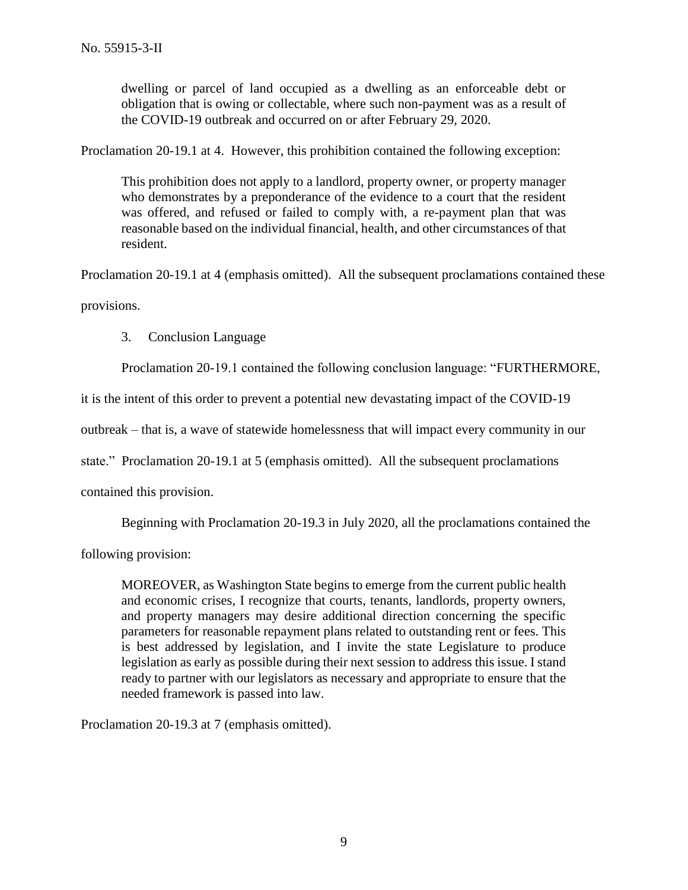dwelling or parcel of land occupied as a dwelling as an enforceable debt or obligation that is owing or collectable, where such non-payment was as a result of the COVID-19 outbreak and occurred on or after February 29, 2020.

Proclamation 20-19.1 at 4. However, this prohibition contained the following exception:

This prohibition does not apply to a landlord, property owner, or property manager who demonstrates by a preponderance of the evidence to a court that the resident was offered, and refused or failed to comply with, a re-payment plan that was reasonable based on the individual financial, health, and other circumstances of that resident.

Proclamation 20-19.1 at 4 (emphasis omitted). All the subsequent proclamations contained these provisions.

3. Conclusion Language

Proclamation 20-19.1 contained the following conclusion language: "FURTHERMORE,

it is the intent of this order to prevent a potential new devastating impact of the COVID-19

outbreak – that is, a wave of statewide homelessness that will impact every community in our

state." Proclamation 20-19.1 at 5 (emphasis omitted). All the subsequent proclamations

contained this provision.

Beginning with Proclamation 20-19.3 in July 2020, all the proclamations contained the

following provision:

MOREOVER, as Washington State begins to emerge from the current public health and economic crises, I recognize that courts, tenants, landlords, property owners, and property managers may desire additional direction concerning the specific parameters for reasonable repayment plans related to outstanding rent or fees. This is best addressed by legislation, and I invite the state Legislature to produce legislation as early as possible during their next session to address this issue. I stand ready to partner with our legislators as necessary and appropriate to ensure that the needed framework is passed into law.

Proclamation 20-19.3 at 7 (emphasis omitted).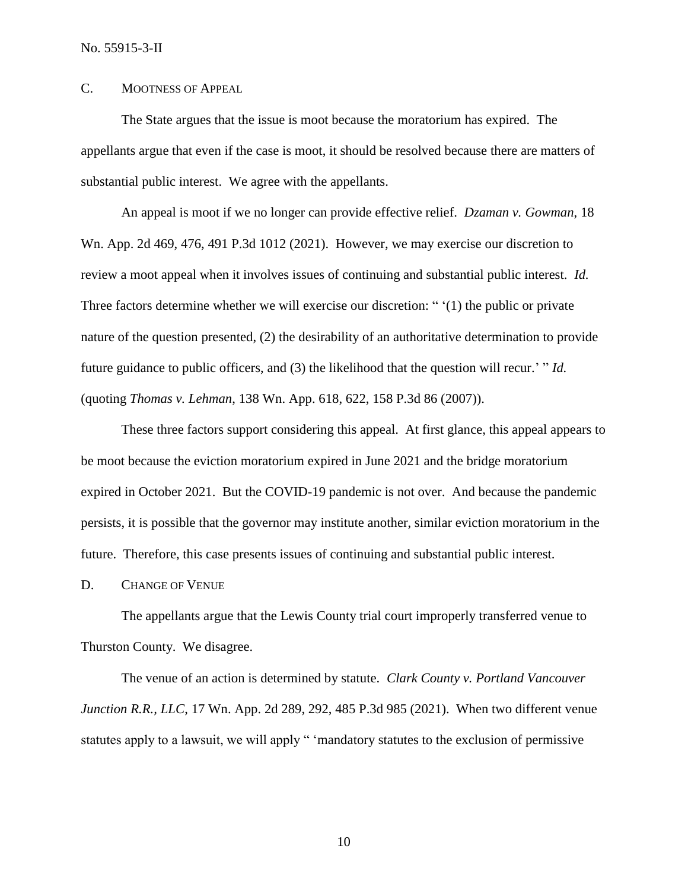## C. MOOTNESS OF APPEAL

The State argues that the issue is moot because the moratorium has expired. The appellants argue that even if the case is moot, it should be resolved because there are matters of substantial public interest. We agree with the appellants.

An appeal is moot if we no longer can provide effective relief. *Dzaman v. Gowman*, 18 Wn. App. 2d 469, 476, 491 P.3d 1012 (2021). However, we may exercise our discretion to review a moot appeal when it involves issues of continuing and substantial public interest. *Id.* Three factors determine whether we will exercise our discretion: " '(1) the public or private nature of the question presented, (2) the desirability of an authoritative determination to provide future guidance to public officers, and (3) the likelihood that the question will recur.' " *Id.* (quoting *Thomas v. Lehman*, 138 Wn. App. 618, 622, 158 P.3d 86 (2007)).

These three factors support considering this appeal. At first glance, this appeal appears to be moot because the eviction moratorium expired in June 2021 and the bridge moratorium expired in October 2021. But the COVID-19 pandemic is not over. And because the pandemic persists, it is possible that the governor may institute another, similar eviction moratorium in the future. Therefore, this case presents issues of continuing and substantial public interest.

D. CHANGE OF VENUE

The appellants argue that the Lewis County trial court improperly transferred venue to Thurston County. We disagree.

The venue of an action is determined by statute. *Clark County v. Portland Vancouver Junction R.R., LLC*, 17 Wn. App. 2d 289, 292, 485 P.3d 985 (2021). When two different venue statutes apply to a lawsuit, we will apply " 'mandatory statutes to the exclusion of permissive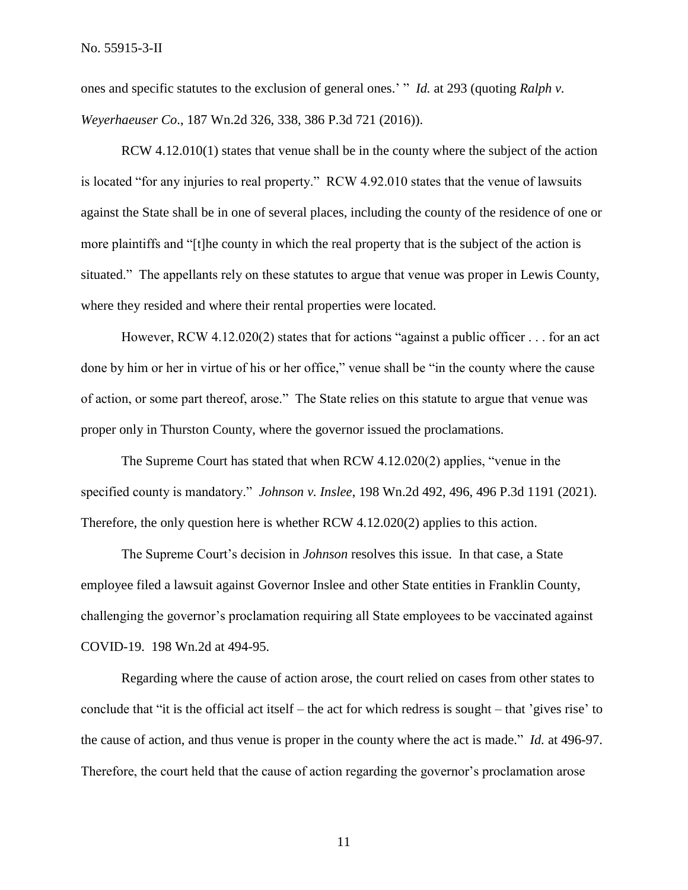ones and specific statutes to the exclusion of general ones.' " *Id.* at 293 (quoting *Ralph v. Weyerhaeuser Co*., 187 Wn.2d 326, 338, 386 P.3d 721 (2016)).

RCW 4.12.010(1) states that venue shall be in the county where the subject of the action is located "for any injuries to real property." RCW 4.92.010 states that the venue of lawsuits against the State shall be in one of several places, including the county of the residence of one or more plaintiffs and "[t]he county in which the real property that is the subject of the action is situated." The appellants rely on these statutes to argue that venue was proper in Lewis County, where they resided and where their rental properties were located.

However, RCW 4.12.020(2) states that for actions "against a public officer . . . for an act done by him or her in virtue of his or her office," venue shall be "in the county where the cause of action, or some part thereof, arose." The State relies on this statute to argue that venue was proper only in Thurston County, where the governor issued the proclamations.

The Supreme Court has stated that when RCW 4.12.020(2) applies, "venue in the specified county is mandatory." *Johnson v. Inslee*, 198 Wn.2d 492, 496, 496 P.3d 1191 (2021). Therefore, the only question here is whether RCW 4.12.020(2) applies to this action.

The Supreme Court's decision in *Johnson* resolves this issue. In that case, a State employee filed a lawsuit against Governor Inslee and other State entities in Franklin County, challenging the governor's proclamation requiring all State employees to be vaccinated against COVID-19. 198 Wn.2d at 494-95.

Regarding where the cause of action arose, the court relied on cases from other states to conclude that "it is the official act itself – the act for which redress is sought – that 'gives rise' to the cause of action, and thus venue is proper in the county where the act is made." *Id.* at 496-97. Therefore, the court held that the cause of action regarding the governor's proclamation arose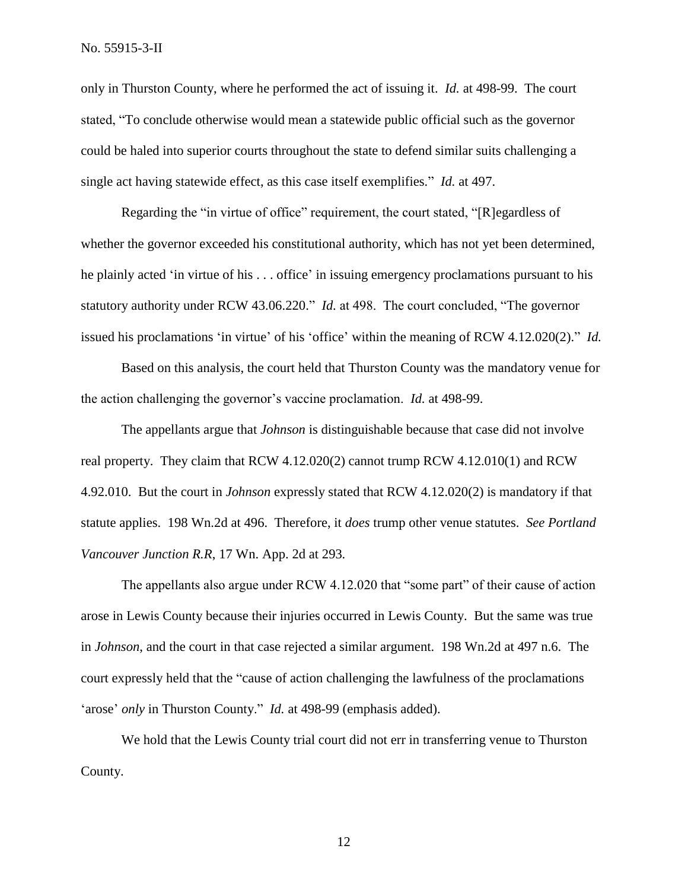only in Thurston County, where he performed the act of issuing it. *Id.* at 498-99. The court stated, "To conclude otherwise would mean a statewide public official such as the governor could be haled into superior courts throughout the state to defend similar suits challenging a single act having statewide effect, as this case itself exemplifies." *Id.* at 497.

Regarding the "in virtue of office" requirement, the court stated, "[R]egardless of whether the governor exceeded his constitutional authority, which has not yet been determined, he plainly acted 'in virtue of his . . . office' in issuing emergency proclamations pursuant to his statutory authority under RCW 43.06.220." *Id.* at 498. The court concluded, "The governor issued his proclamations 'in virtue' of his 'office' within the meaning of RCW 4.12.020(2)." *Id.*

Based on this analysis, the court held that Thurston County was the mandatory venue for the action challenging the governor's vaccine proclamation. *Id.* at 498-99.

The appellants argue that *Johnson* is distinguishable because that case did not involve real property. They claim that RCW 4.12.020(2) cannot trump RCW 4.12.010(1) and RCW 4.92.010. But the court in *Johnson* expressly stated that RCW 4.12.020(2) is mandatory if that statute applies. 198 Wn.2d at 496. Therefore, it *does* trump other venue statutes. *See Portland Vancouver Junction R.R*, 17 Wn. App. 2d at 293*.*

The appellants also argue under RCW 4.12.020 that "some part" of their cause of action arose in Lewis County because their injuries occurred in Lewis County. But the same was true in *Johnson*, and the court in that case rejected a similar argument. 198 Wn.2d at 497 n.6. The court expressly held that the "cause of action challenging the lawfulness of the proclamations 'arose' *only* in Thurston County." *Id.* at 498-99 (emphasis added).

We hold that the Lewis County trial court did not err in transferring venue to Thurston County.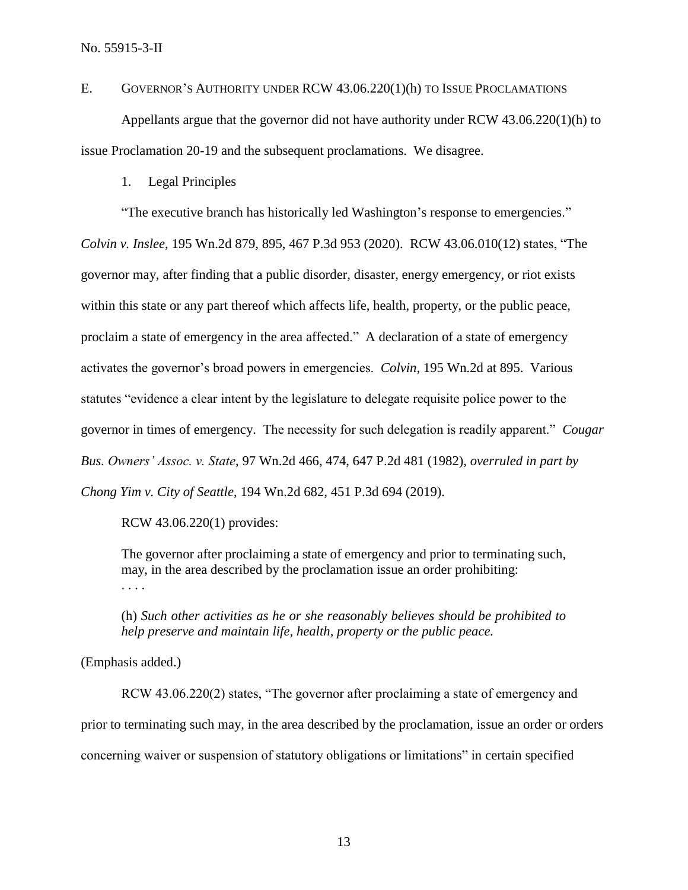E. GOVERNOR'S AUTHORITY UNDER RCW 43.06.220(1)(h) TO ISSUE PROCLAMATIONS

Appellants argue that the governor did not have authority under RCW 43.06.220(1)(h) to issue Proclamation 20-19 and the subsequent proclamations. We disagree.

1. Legal Principles

"The executive branch has historically led Washington's response to emergencies." *Colvin v. Inslee*, 195 Wn.2d 879, 895, 467 P.3d 953 (2020). RCW 43.06.010(12) states, "The governor may, after finding that a public disorder, disaster, energy emergency, or riot exists within this state or any part thereof which affects life, health, property, or the public peace, proclaim a state of emergency in the area affected." A declaration of a state of emergency activates the governor's broad powers in emergencies. *Colvin*, 195 Wn.2d at 895. Various statutes "evidence a clear intent by the legislature to delegate requisite police power to the governor in times of emergency. The necessity for such delegation is readily apparent." *Cougar Bus. Owners' Assoc. v. State*, 97 Wn.2d 466, 474, 647 P.2d 481 (1982), *overruled in part by Chong Yim v. City of Seattle*, 194 Wn.2d 682, 451 P.3d 694 (2019).

RCW 43.06.220(1) provides:

The governor after proclaiming a state of emergency and prior to terminating such, may, in the area described by the proclamation issue an order prohibiting: . . . .

(h) *Such other activities as he or she reasonably believes should be prohibited to help preserve and maintain life, health, property or the public peace.*

(Emphasis added.)

RCW 43.06.220(2) states, "The governor after proclaiming a state of emergency and prior to terminating such may, in the area described by the proclamation, issue an order or orders concerning waiver or suspension of statutory obligations or limitations" in certain specified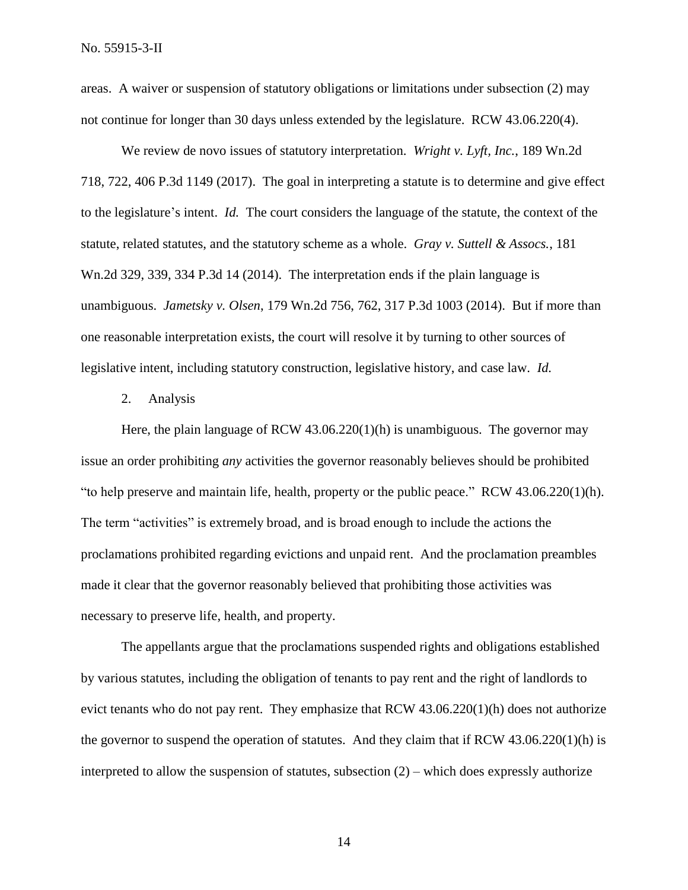areas. A waiver or suspension of statutory obligations or limitations under subsection (2) may not continue for longer than 30 days unless extended by the legislature. RCW 43.06.220(4).

We review de novo issues of statutory interpretation. *Wright v. Lyft, Inc.*, 189 Wn.2d 718, 722, 406 P.3d 1149 (2017). The goal in interpreting a statute is to determine and give effect to the legislature's intent. *Id.* The court considers the language of the statute, the context of the statute, related statutes, and the statutory scheme as a whole. *Gray v. Suttell & Assocs.*, 181 Wn.2d 329, 339, 334 P.3d 14 (2014). The interpretation ends if the plain language is unambiguous. *Jametsky v. Olsen*, 179 Wn.2d 756, 762, 317 P.3d 1003 (2014). But if more than one reasonable interpretation exists, the court will resolve it by turning to other sources of legislative intent, including statutory construction, legislative history, and case law. *Id.*

#### 2. Analysis

Here, the plain language of RCW  $43.06.220(1)(h)$  is unambiguous. The governor may issue an order prohibiting *any* activities the governor reasonably believes should be prohibited "to help preserve and maintain life, health, property or the public peace." RCW 43.06.220(1)(h). The term "activities" is extremely broad, and is broad enough to include the actions the proclamations prohibited regarding evictions and unpaid rent. And the proclamation preambles made it clear that the governor reasonably believed that prohibiting those activities was necessary to preserve life, health, and property.

The appellants argue that the proclamations suspended rights and obligations established by various statutes, including the obligation of tenants to pay rent and the right of landlords to evict tenants who do not pay rent. They emphasize that RCW 43.06.220(1)(h) does not authorize the governor to suspend the operation of statutes. And they claim that if RCW  $43.06.220(1)$ (h) is interpreted to allow the suspension of statutes, subsection  $(2)$  – which does expressly authorize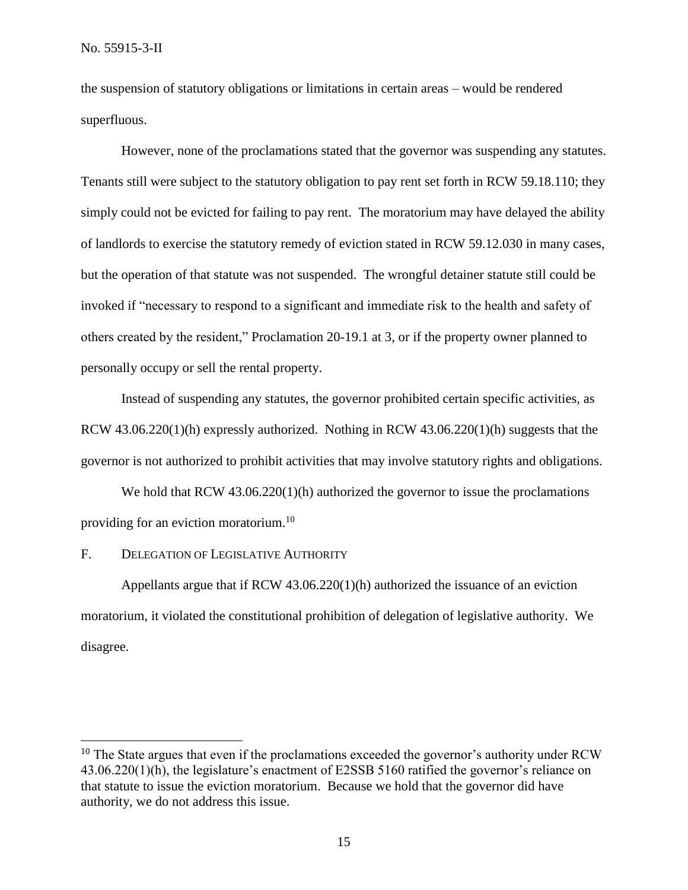the suspension of statutory obligations or limitations in certain areas – would be rendered superfluous.

However, none of the proclamations stated that the governor was suspending any statutes. Tenants still were subject to the statutory obligation to pay rent set forth in RCW 59.18.110; they simply could not be evicted for failing to pay rent. The moratorium may have delayed the ability of landlords to exercise the statutory remedy of eviction stated in RCW 59.12.030 in many cases, but the operation of that statute was not suspended. The wrongful detainer statute still could be invoked if "necessary to respond to a significant and immediate risk to the health and safety of others created by the resident," Proclamation 20-19.1 at 3, or if the property owner planned to personally occupy or sell the rental property.

Instead of suspending any statutes, the governor prohibited certain specific activities, as RCW 43.06.220(1)(h) expressly authorized. Nothing in RCW 43.06.220(1)(h) suggests that the governor is not authorized to prohibit activities that may involve statutory rights and obligations.

We hold that RCW 43.06.220(1)(h) authorized the governor to issue the proclamations providing for an eviction moratorium.<sup>10</sup>

#### F. DELEGATION OF LEGISLATIVE AUTHORITY

 $\overline{a}$ 

Appellants argue that if RCW 43.06.220(1)(h) authorized the issuance of an eviction moratorium, it violated the constitutional prohibition of delegation of legislative authority. We disagree.

 $10$  The State argues that even if the proclamations exceeded the governor's authority under RCW 43.06.220(1)(h), the legislature's enactment of E2SSB 5160 ratified the governor's reliance on that statute to issue the eviction moratorium. Because we hold that the governor did have authority, we do not address this issue.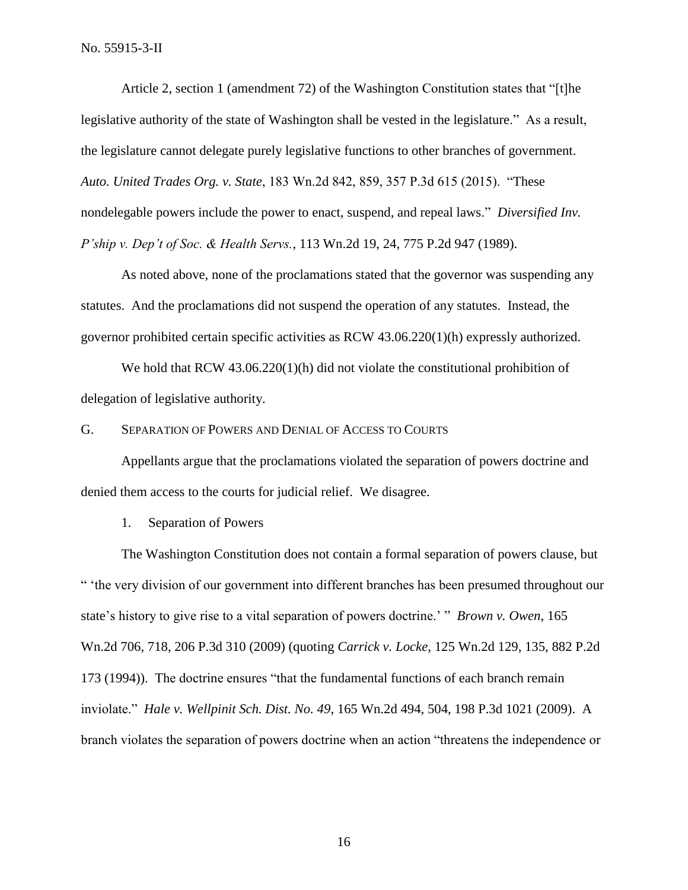Article 2, section 1 (amendment 72) of the Washington Constitution states that "[t]he legislative authority of the state of Washington shall be vested in the legislature." As a result, the legislature cannot delegate purely legislative functions to other branches of government. *Auto. United Trades Org. v. State*, 183 Wn.2d 842, 859, 357 P.3d 615 (2015). "These nondelegable powers include the power to enact, suspend, and repeal laws." *Diversified Inv. P'ship v. Dep't of Soc. & Health Servs.*, 113 Wn.2d 19, 24, 775 P.2d 947 (1989).

As noted above, none of the proclamations stated that the governor was suspending any statutes. And the proclamations did not suspend the operation of any statutes. Instead, the governor prohibited certain specific activities as RCW 43.06.220(1)(h) expressly authorized.

We hold that RCW 43.06.220(1)(h) did not violate the constitutional prohibition of delegation of legislative authority.

#### G. SEPARATION OF POWERS AND DENIAL OF ACCESS TO COURTS

Appellants argue that the proclamations violated the separation of powers doctrine and denied them access to the courts for judicial relief. We disagree.

#### 1. Separation of Powers

The Washington Constitution does not contain a formal separation of powers clause, but " 'the very division of our government into different branches has been presumed throughout our state's history to give rise to a vital separation of powers doctrine.' " *Brown v. Owen*, 165 Wn.2d 706, 718, 206 P.3d 310 (2009) (quoting *Carrick v. Locke*, 125 Wn.2d 129, 135, 882 P.2d 173 (1994)). The doctrine ensures "that the fundamental functions of each branch remain inviolate." *Hale v. Wellpinit Sch. Dist. No. 49*, 165 Wn.2d 494, 504, 198 P.3d 1021 (2009). A branch violates the separation of powers doctrine when an action "threatens the independence or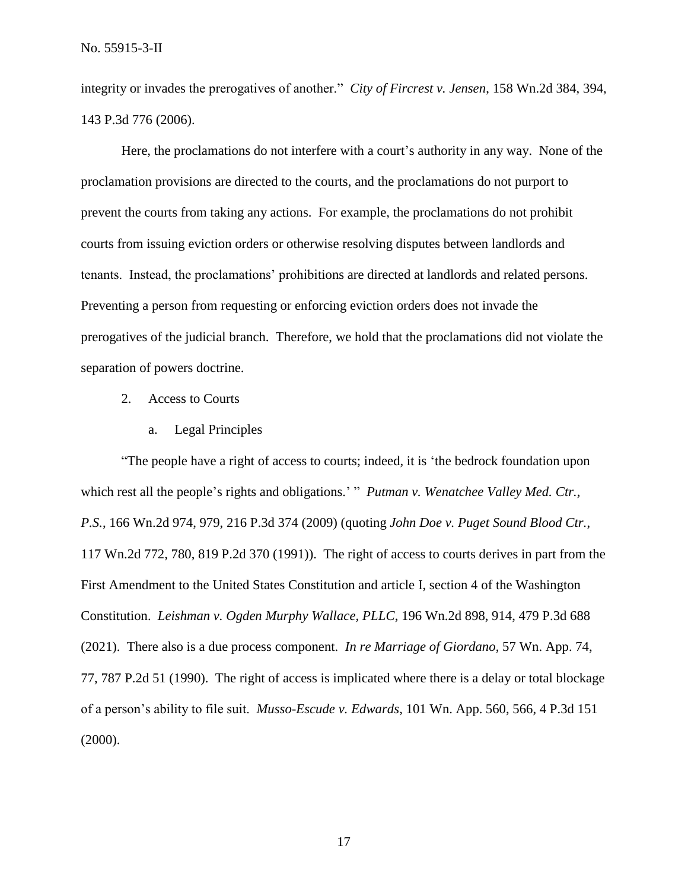integrity or invades the prerogatives of another." *City of Fircrest v. Jensen*, 158 Wn.2d 384, 394, 143 P.3d 776 (2006).

Here, the proclamations do not interfere with a court's authority in any way. None of the proclamation provisions are directed to the courts, and the proclamations do not purport to prevent the courts from taking any actions. For example, the proclamations do not prohibit courts from issuing eviction orders or otherwise resolving disputes between landlords and tenants. Instead, the proclamations' prohibitions are directed at landlords and related persons. Preventing a person from requesting or enforcing eviction orders does not invade the prerogatives of the judicial branch. Therefore, we hold that the proclamations did not violate the separation of powers doctrine.

- 2. Access to Courts
	- a. Legal Principles

"The people have a right of access to courts; indeed, it is 'the bedrock foundation upon which rest all the people's rights and obligations.' " *Putman v. Wenatchee Valley Med. Ctr., P.S.*, 166 Wn.2d 974, 979, 216 P.3d 374 (2009) (quoting *John Doe v. Puget Sound Blood Ctr.*, 117 Wn.2d 772, 780, 819 P.2d 370 (1991)). The right of access to courts derives in part from the First Amendment to the United States Constitution and article I, section 4 of the Washington Constitution. *Leishman v. Ogden Murphy Wallace, PLLC*, 196 Wn.2d 898, 914, 479 P.3d 688 (2021). There also is a due process component. *In re Marriage of Giordano*, 57 Wn. App. 74, 77, 787 P.2d 51 (1990). The right of access is implicated where there is a delay or total blockage of a person's ability to file suit. *Musso-Escude v. Edwards*, 101 Wn. App. 560, 566, 4 P.3d 151 (2000).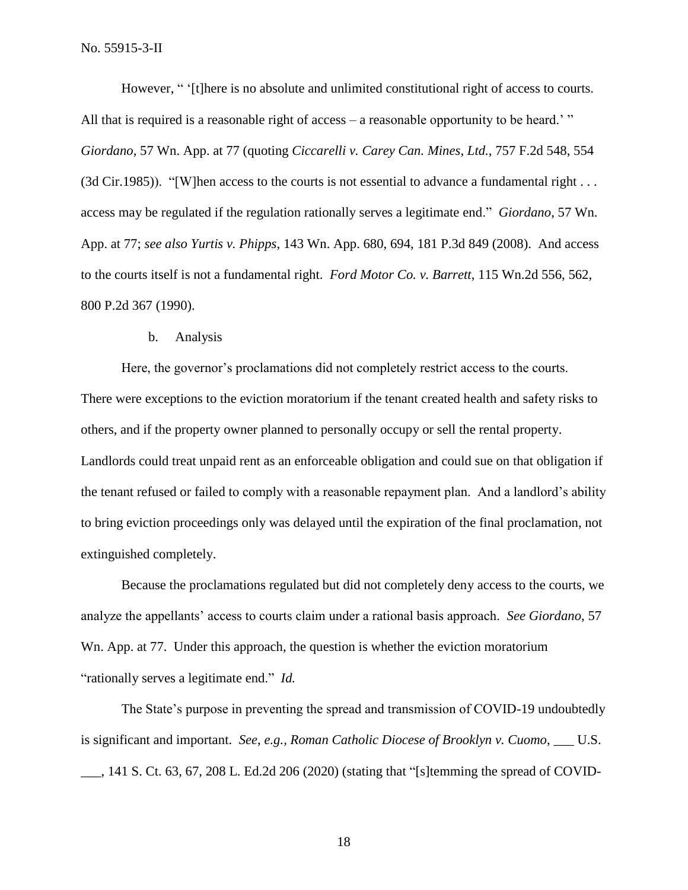No. 55915-3-II

However, "' (there is no absolute and unlimited constitutional right of access to courts. All that is required is a reasonable right of access – a reasonable opportunity to be heard.' " *Giordano*, 57 Wn. App. at 77 (quoting *Ciccarelli v. Carey Can. Mines, Ltd.*, 757 F.2d 548, 554 (3d Cir.1985)). "[W]hen access to the courts is not essential to advance a fundamental right . . . access may be regulated if the regulation rationally serves a legitimate end." *Giordano*, 57 Wn. App. at 77; *see also Yurtis v. Phipps*, 143 Wn. App. 680, 694, 181 P.3d 849 (2008). And access to the courts itself is not a fundamental right. *Ford Motor Co. v. Barrett*, 115 Wn.2d 556, 562, 800 P.2d 367 (1990).

#### b. Analysis

Here, the governor's proclamations did not completely restrict access to the courts. There were exceptions to the eviction moratorium if the tenant created health and safety risks to others, and if the property owner planned to personally occupy or sell the rental property. Landlords could treat unpaid rent as an enforceable obligation and could sue on that obligation if the tenant refused or failed to comply with a reasonable repayment plan. And a landlord's ability to bring eviction proceedings only was delayed until the expiration of the final proclamation, not extinguished completely.

Because the proclamations regulated but did not completely deny access to the courts, we analyze the appellants' access to courts claim under a rational basis approach. *See Giordano*, 57 Wn. App. at 77. Under this approach, the question is whether the eviction moratorium "rationally serves a legitimate end." *Id.*

The State's purpose in preventing the spread and transmission of COVID-19 undoubtedly is significant and important. *See*, *e.g., Roman Catholic Diocese of Brooklyn v. Cuomo*, \_\_\_ U.S. \_\_\_, 141 S. Ct. 63, 67, 208 L. Ed.2d 206 (2020) (stating that "[s]temming the spread of COVID-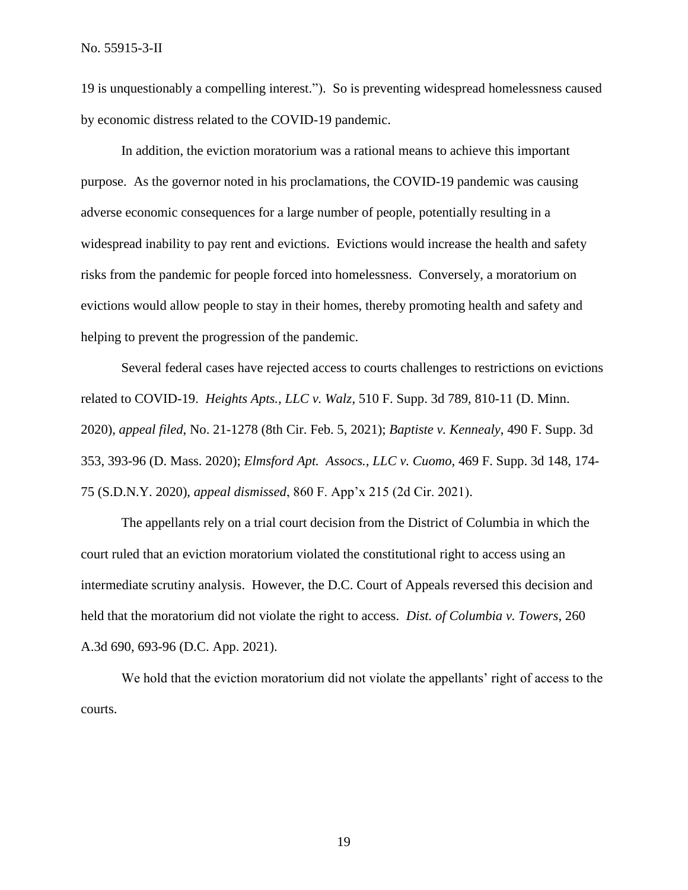19 is unquestionably a compelling interest."). So is preventing widespread homelessness caused by economic distress related to the COVID-19 pandemic.

In addition, the eviction moratorium was a rational means to achieve this important purpose. As the governor noted in his proclamations, the COVID-19 pandemic was causing adverse economic consequences for a large number of people, potentially resulting in a widespread inability to pay rent and evictions. Evictions would increase the health and safety risks from the pandemic for people forced into homelessness. Conversely, a moratorium on evictions would allow people to stay in their homes, thereby promoting health and safety and helping to prevent the progression of the pandemic.

Several federal cases have rejected access to courts challenges to restrictions on evictions related to COVID-19. *Heights Apts., LLC v. Walz*, 510 F. Supp. 3d 789, 810-11 (D. Minn. 2020), *appeal filed*, No. 21-1278 (8th Cir. Feb. 5, 2021); *Baptiste v. Kennealy*, 490 F. Supp. 3d 353, 393-96 (D. Mass. 2020); *Elmsford Apt. Assocs., LLC v. Cuomo*, 469 F. Supp. 3d 148, 174- 75 (S.D.N.Y. 2020), *appeal dismissed*, 860 F. App'x 215 (2d Cir. 2021).

The appellants rely on a trial court decision from the District of Columbia in which the court ruled that an eviction moratorium violated the constitutional right to access using an intermediate scrutiny analysis. However, the D.C. Court of Appeals reversed this decision and held that the moratorium did not violate the right to access. *Dist. of Columbia v. Towers*, 260 A.3d 690, 693-96 (D.C. App. 2021).

We hold that the eviction moratorium did not violate the appellants' right of access to the courts.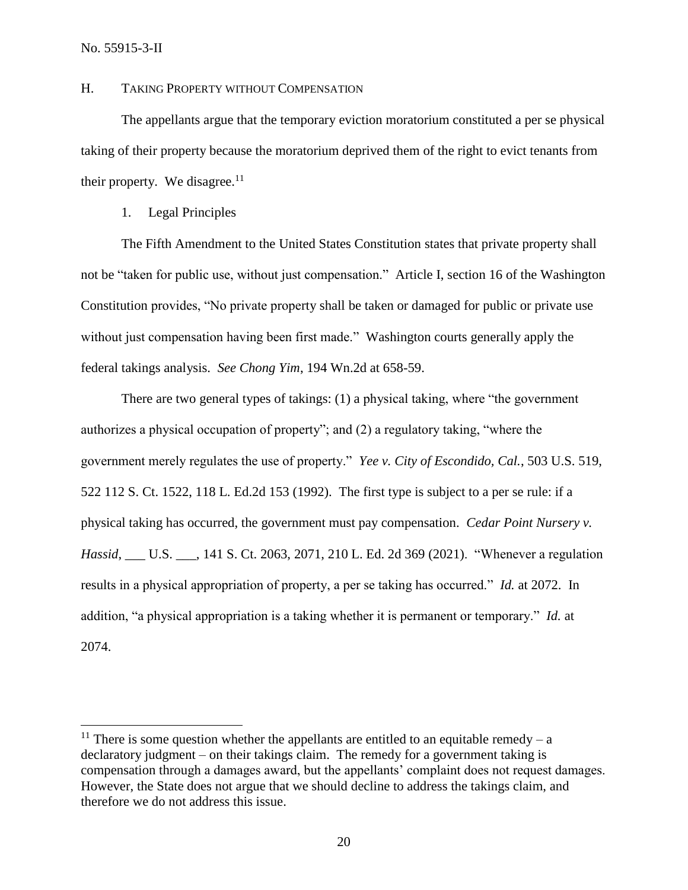## H. TAKING PROPERTY WITHOUT COMPENSATION

The appellants argue that the temporary eviction moratorium constituted a per se physical taking of their property because the moratorium deprived them of the right to evict tenants from their property. We disagree. $11$ 

## 1. Legal Principles

The Fifth Amendment to the United States Constitution states that private property shall not be "taken for public use, without just compensation." Article I, section 16 of the Washington Constitution provides, "No private property shall be taken or damaged for public or private use without just compensation having been first made." Washington courts generally apply the federal takings analysis. *See Chong Yim*, 194 Wn.2d at 658-59.

There are two general types of takings: (1) a physical taking, where "the government authorizes a physical occupation of property"; and (2) a regulatory taking, "where the government merely regulates the use of property." *Yee v. City of Escondido, Cal.*, 503 U.S. 519, 522 112 S. Ct. 1522, 118 L. Ed.2d 153 (1992). The first type is subject to a per se rule: if a physical taking has occurred, the government must pay compensation. *Cedar Point Nursery v. Hassid*, \_\_\_ U.S. \_\_\_, 141 S. Ct. 2063, 2071, 210 L. Ed. 2d 369 (2021). "Whenever a regulation results in a physical appropriation of property, a per se taking has occurred." *Id.* at 2072. In addition, "a physical appropriation is a taking whether it is permanent or temporary." *Id.* at 2074.

<sup>&</sup>lt;sup>11</sup> There is some question whether the appellants are entitled to an equitable remedy – a declaratory judgment – on their takings claim. The remedy for a government taking is compensation through a damages award, but the appellants' complaint does not request damages. However, the State does not argue that we should decline to address the takings claim, and therefore we do not address this issue.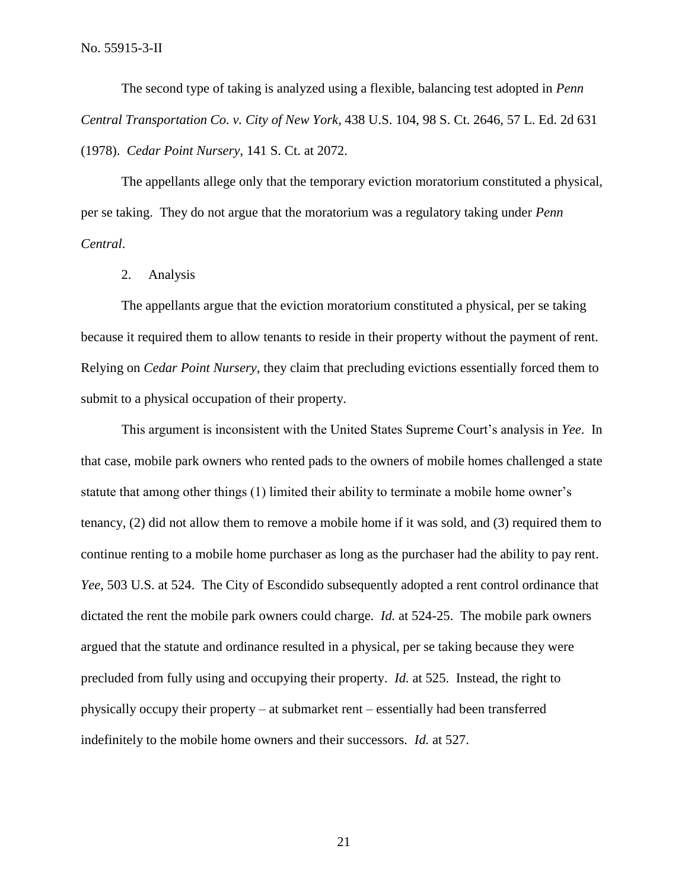The second type of taking is analyzed using a flexible, balancing test adopted in *Penn Central Transportation Co. v. City of New York*, 438 U.S. 104, 98 S. Ct. 2646, 57 L. Ed. 2d 631 (1978). *Cedar Point Nursery*, 141 S. Ct. at 2072.

The appellants allege only that the temporary eviction moratorium constituted a physical, per se taking. They do not argue that the moratorium was a regulatory taking under *Penn Central*.

2. Analysis

The appellants argue that the eviction moratorium constituted a physical, per se taking because it required them to allow tenants to reside in their property without the payment of rent. Relying on *Cedar Point Nursery*, they claim that precluding evictions essentially forced them to submit to a physical occupation of their property.

This argument is inconsistent with the United States Supreme Court's analysis in *Yee*. In that case, mobile park owners who rented pads to the owners of mobile homes challenged a state statute that among other things (1) limited their ability to terminate a mobile home owner's tenancy, (2) did not allow them to remove a mobile home if it was sold, and (3) required them to continue renting to a mobile home purchaser as long as the purchaser had the ability to pay rent. *Yee*, 503 U.S. at 524. The City of Escondido subsequently adopted a rent control ordinance that dictated the rent the mobile park owners could charge. *Id.* at 524-25. The mobile park owners argued that the statute and ordinance resulted in a physical, per se taking because they were precluded from fully using and occupying their property. *Id.* at 525. Instead, the right to physically occupy their property – at submarket rent – essentially had been transferred indefinitely to the mobile home owners and their successors. *Id.* at 527.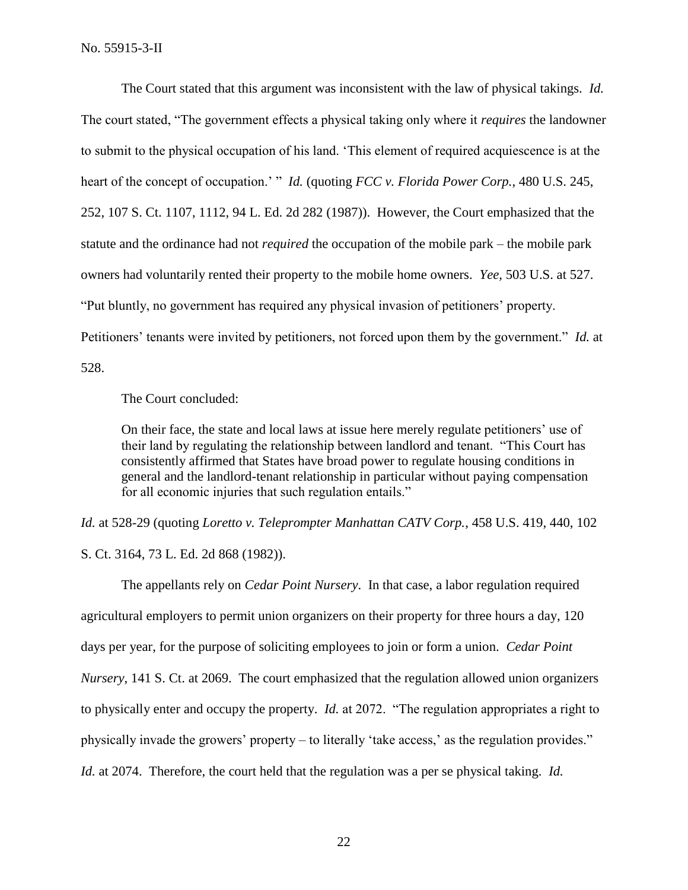The Court stated that this argument was inconsistent with the law of physical takings. *Id.* The court stated, "The government effects a physical taking only where it *requires* the landowner to submit to the physical occupation of his land. 'This element of required acquiescence is at the heart of the concept of occupation.' " *Id.* (quoting *FCC v. Florida Power Corp.*, 480 U.S. 245, 252, 107 S. Ct. 1107, 1112, 94 L. Ed. 2d 282 (1987)). However, the Court emphasized that the statute and the ordinance had not *required* the occupation of the mobile park – the mobile park owners had voluntarily rented their property to the mobile home owners. *Yee*, 503 U.S. at 527. "Put bluntly, no government has required any physical invasion of petitioners' property. Petitioners' tenants were invited by petitioners, not forced upon them by the government." *Id.* at 528.

The Court concluded:

On their face, the state and local laws at issue here merely regulate petitioners' use of their land by regulating the relationship between landlord and tenant. "This Court has consistently affirmed that States have broad power to regulate housing conditions in general and the landlord-tenant relationship in particular without paying compensation for all economic injuries that such regulation entails."

*Id.* at 528-29 (quoting *Loretto v. Teleprompter Manhattan CATV Corp.*, 458 U.S. 419, 440, 102

S. Ct. 3164, 73 L. Ed. 2d 868 (1982)).

The appellants rely on *Cedar Point Nursery*. In that case, a labor regulation required agricultural employers to permit union organizers on their property for three hours a day, 120 days per year, for the purpose of soliciting employees to join or form a union. *Cedar Point Nursery*, 141 S. Ct. at 2069. The court emphasized that the regulation allowed union organizers to physically enter and occupy the property. *Id.* at 2072. "The regulation appropriates a right to physically invade the growers' property – to literally 'take access,' as the regulation provides." *Id.* at 2074. Therefore, the court held that the regulation was a per se physical taking. *Id.*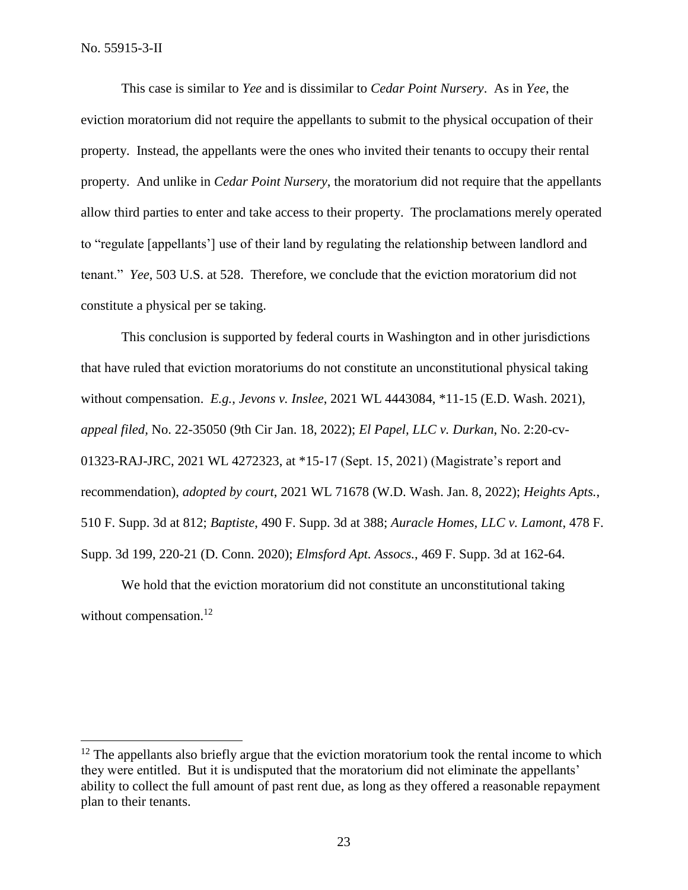This case is similar to *Yee* and is dissimilar to *Cedar Point Nursery*. As in *Yee*, the eviction moratorium did not require the appellants to submit to the physical occupation of their property. Instead, the appellants were the ones who invited their tenants to occupy their rental property. And unlike in *Cedar Point Nursery*, the moratorium did not require that the appellants allow third parties to enter and take access to their property. The proclamations merely operated to "regulate [appellants'] use of their land by regulating the relationship between landlord and tenant." *Yee*, 503 U.S. at 528. Therefore, we conclude that the eviction moratorium did not constitute a physical per se taking.

This conclusion is supported by federal courts in Washington and in other jurisdictions that have ruled that eviction moratoriums do not constitute an unconstitutional physical taking without compensation. *E.g.*, *Jevons v. Inslee*, 2021 WL 4443084, \*11-15 (E.D. Wash. 2021), *appeal filed,* No. 22-35050 (9th Cir Jan. 18, 2022); *El Papel, LLC v. Durkan*, No. 2:20-cv-01323-RAJ-JRC, 2021 WL 4272323, at \*15-17 (Sept. 15, 2021) (Magistrate's report and recommendation), *adopted by court*, 2021 WL 71678 (W.D. Wash. Jan. 8, 2022); *Heights Apts.*, 510 F. Supp. 3d at 812; *Baptiste*, 490 F. Supp. 3d at 388; *Auracle Homes, LLC v. Lamont*, 478 F. Supp. 3d 199, 220-21 (D. Conn. 2020); *Elmsford Apt. Assocs.*, 469 F. Supp. 3d at 162-64.

We hold that the eviction moratorium did not constitute an unconstitutional taking without compensation.<sup>12</sup>

 $12$  The appellants also briefly argue that the eviction moratorium took the rental income to which they were entitled. But it is undisputed that the moratorium did not eliminate the appellants' ability to collect the full amount of past rent due, as long as they offered a reasonable repayment plan to their tenants.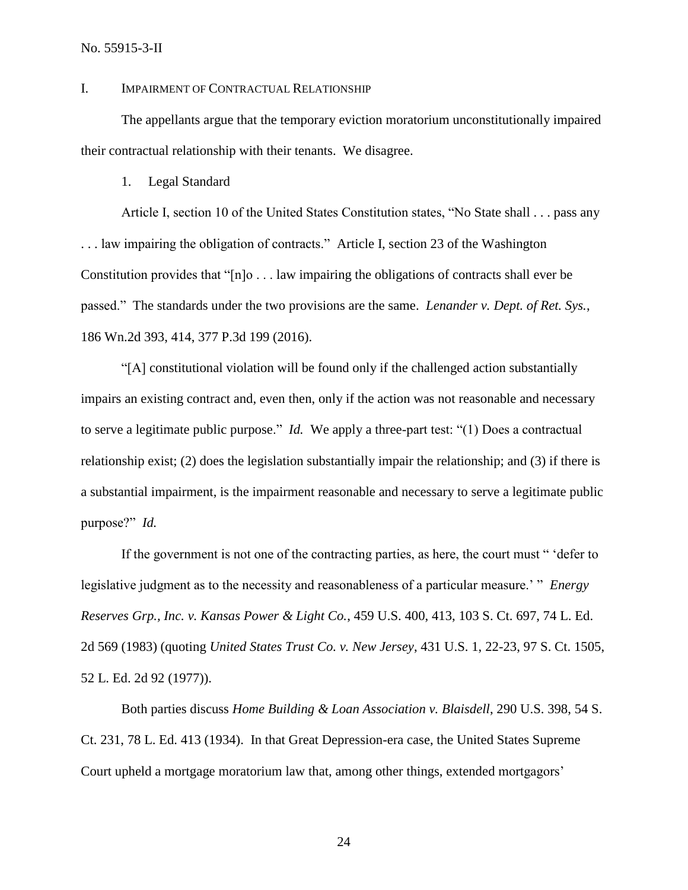No. 55915-3-II

### I. IMPAIRMENT OF CONTRACTUAL RELATIONSHIP

The appellants argue that the temporary eviction moratorium unconstitutionally impaired their contractual relationship with their tenants. We disagree.

1. Legal Standard

Article I, section 10 of the United States Constitution states, "No State shall . . . pass any . . . law impairing the obligation of contracts." Article I, section 23 of the Washington Constitution provides that "[n]o . . . law impairing the obligations of contracts shall ever be passed." The standards under the two provisions are the same. *Lenander v. Dept. of Ret. Sys.*, 186 Wn.2d 393, 414, 377 P.3d 199 (2016).

"[A] constitutional violation will be found only if the challenged action substantially impairs an existing contract and, even then, only if the action was not reasonable and necessary to serve a legitimate public purpose." *Id.* We apply a three-part test: "(1) Does a contractual relationship exist; (2) does the legislation substantially impair the relationship; and (3) if there is a substantial impairment, is the impairment reasonable and necessary to serve a legitimate public purpose?" *Id.*

If the government is not one of the contracting parties, as here, the court must " 'defer to legislative judgment as to the necessity and reasonableness of a particular measure.' " *Energy Reserves Grp., Inc. v. Kansas Power & Light Co.*, 459 U.S. 400, 413, 103 S. Ct. 697, 74 L. Ed. 2d 569 (1983) (quoting *United States Trust Co. v. New Jersey*, 431 U.S. 1, 22-23, 97 S. Ct. 1505, 52 L. Ed. 2d 92 (1977)).

Both parties discuss *Home Building & Loan Association v. Blaisdell*, 290 U.S. 398, 54 S. Ct. 231, 78 L. Ed. 413 (1934). In that Great Depression-era case, the United States Supreme Court upheld a mortgage moratorium law that, among other things, extended mortgagors'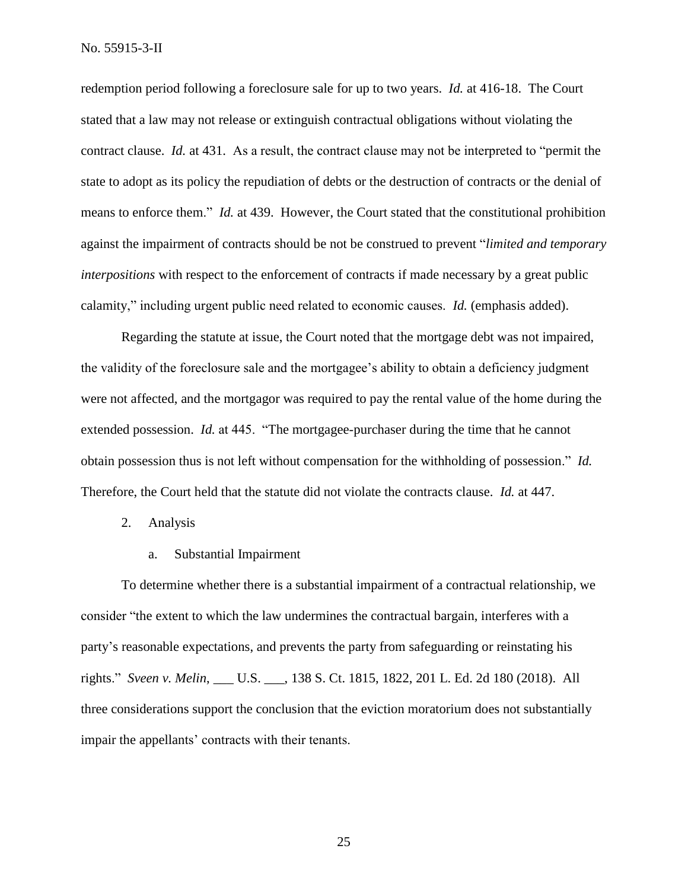No. 55915-3-II

redemption period following a foreclosure sale for up to two years. *Id.* at 416-18. The Court stated that a law may not release or extinguish contractual obligations without violating the contract clause. *Id.* at 431. As a result, the contract clause may not be interpreted to "permit the state to adopt as its policy the repudiation of debts or the destruction of contracts or the denial of means to enforce them." *Id.* at 439. However, the Court stated that the constitutional prohibition against the impairment of contracts should be not be construed to prevent "*limited and temporary interpositions* with respect to the enforcement of contracts if made necessary by a great public calamity," including urgent public need related to economic causes. *Id.* (emphasis added).

Regarding the statute at issue, the Court noted that the mortgage debt was not impaired, the validity of the foreclosure sale and the mortgagee's ability to obtain a deficiency judgment were not affected, and the mortgagor was required to pay the rental value of the home during the extended possession. *Id.* at 445. "The mortgagee-purchaser during the time that he cannot obtain possession thus is not left without compensation for the withholding of possession." *Id.* Therefore, the Court held that the statute did not violate the contracts clause. *Id.* at 447.

- 2. Analysis
	- a. Substantial Impairment

To determine whether there is a substantial impairment of a contractual relationship, we consider "the extent to which the law undermines the contractual bargain, interferes with a party's reasonable expectations, and prevents the party from safeguarding or reinstating his rights." *Sveen v. Melin*, \_\_\_ U.S. \_\_\_, 138 S. Ct. 1815, 1822, 201 L. Ed. 2d 180 (2018). All three considerations support the conclusion that the eviction moratorium does not substantially impair the appellants' contracts with their tenants.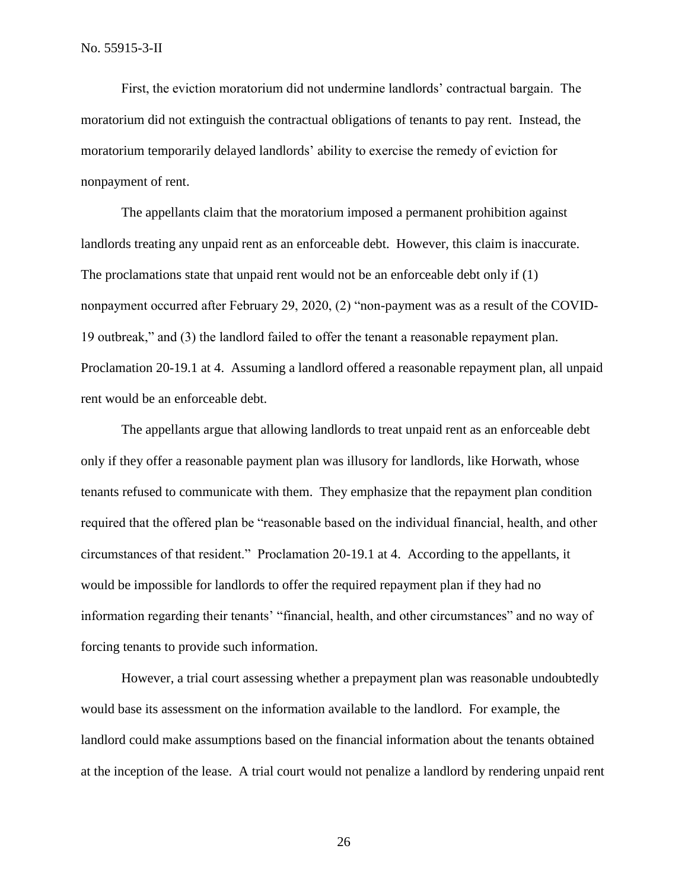First, the eviction moratorium did not undermine landlords' contractual bargain. The moratorium did not extinguish the contractual obligations of tenants to pay rent. Instead, the moratorium temporarily delayed landlords' ability to exercise the remedy of eviction for nonpayment of rent.

The appellants claim that the moratorium imposed a permanent prohibition against landlords treating any unpaid rent as an enforceable debt. However, this claim is inaccurate. The proclamations state that unpaid rent would not be an enforceable debt only if (1) nonpayment occurred after February 29, 2020, (2) "non-payment was as a result of the COVID-19 outbreak," and (3) the landlord failed to offer the tenant a reasonable repayment plan. Proclamation 20-19.1 at 4. Assuming a landlord offered a reasonable repayment plan, all unpaid rent would be an enforceable debt.

The appellants argue that allowing landlords to treat unpaid rent as an enforceable debt only if they offer a reasonable payment plan was illusory for landlords, like Horwath, whose tenants refused to communicate with them. They emphasize that the repayment plan condition required that the offered plan be "reasonable based on the individual financial, health, and other circumstances of that resident." Proclamation 20-19.1 at 4. According to the appellants, it would be impossible for landlords to offer the required repayment plan if they had no information regarding their tenants' "financial, health, and other circumstances" and no way of forcing tenants to provide such information.

However, a trial court assessing whether a prepayment plan was reasonable undoubtedly would base its assessment on the information available to the landlord. For example, the landlord could make assumptions based on the financial information about the tenants obtained at the inception of the lease. A trial court would not penalize a landlord by rendering unpaid rent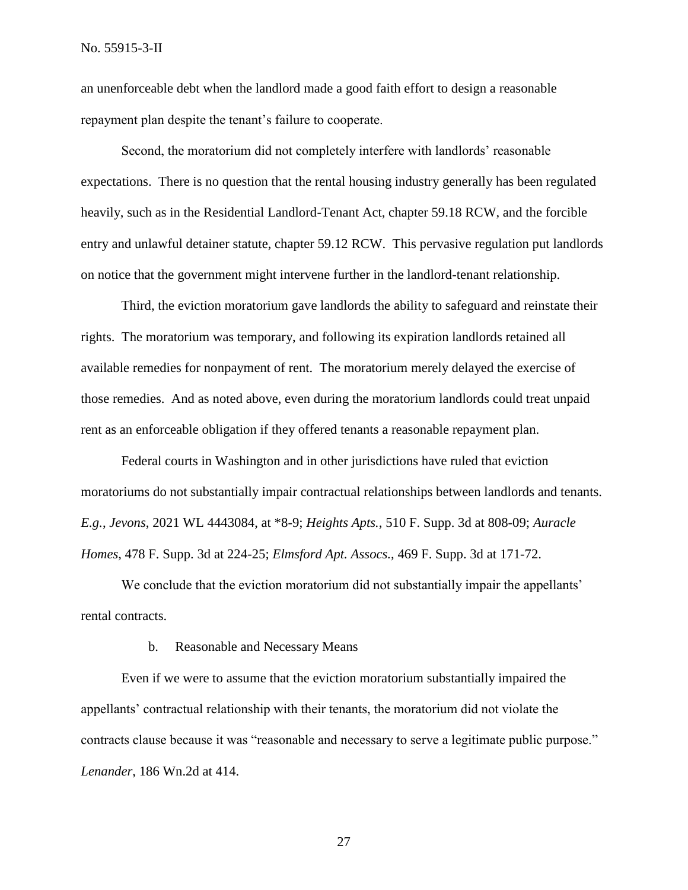an unenforceable debt when the landlord made a good faith effort to design a reasonable repayment plan despite the tenant's failure to cooperate.

Second, the moratorium did not completely interfere with landlords' reasonable expectations. There is no question that the rental housing industry generally has been regulated heavily, such as in the Residential Landlord-Tenant Act, chapter 59.18 RCW, and the forcible entry and unlawful detainer statute, chapter 59.12 RCW. This pervasive regulation put landlords on notice that the government might intervene further in the landlord-tenant relationship.

Third, the eviction moratorium gave landlords the ability to safeguard and reinstate their rights. The moratorium was temporary, and following its expiration landlords retained all available remedies for nonpayment of rent. The moratorium merely delayed the exercise of those remedies. And as noted above, even during the moratorium landlords could treat unpaid rent as an enforceable obligation if they offered tenants a reasonable repayment plan.

Federal courts in Washington and in other jurisdictions have ruled that eviction moratoriums do not substantially impair contractual relationships between landlords and tenants. *E.g.*, *Jevons*, 2021 WL 4443084, at \*8-9; *Heights Apts.*, 510 F. Supp. 3d at 808-09; *Auracle Homes*, 478 F. Supp. 3d at 224-25; *Elmsford Apt. Assocs.*, 469 F. Supp. 3d at 171-72.

We conclude that the eviction moratorium did not substantially impair the appellants' rental contracts.

#### b. Reasonable and Necessary Means

Even if we were to assume that the eviction moratorium substantially impaired the appellants' contractual relationship with their tenants, the moratorium did not violate the contracts clause because it was "reasonable and necessary to serve a legitimate public purpose." *Lenander*, 186 Wn.2d at 414.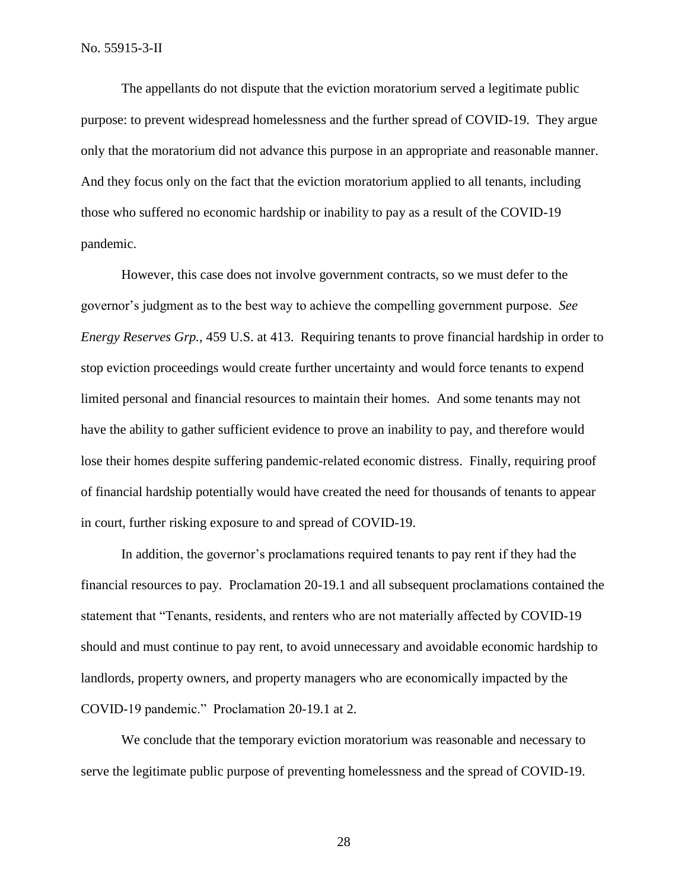The appellants do not dispute that the eviction moratorium served a legitimate public purpose: to prevent widespread homelessness and the further spread of COVID-19. They argue only that the moratorium did not advance this purpose in an appropriate and reasonable manner. And they focus only on the fact that the eviction moratorium applied to all tenants, including those who suffered no economic hardship or inability to pay as a result of the COVID-19 pandemic.

However, this case does not involve government contracts, so we must defer to the governor's judgment as to the best way to achieve the compelling government purpose. *See Energy Reserves Grp.*, 459 U.S. at 413. Requiring tenants to prove financial hardship in order to stop eviction proceedings would create further uncertainty and would force tenants to expend limited personal and financial resources to maintain their homes. And some tenants may not have the ability to gather sufficient evidence to prove an inability to pay, and therefore would lose their homes despite suffering pandemic-related economic distress. Finally, requiring proof of financial hardship potentially would have created the need for thousands of tenants to appear in court, further risking exposure to and spread of COVID-19.

In addition, the governor's proclamations required tenants to pay rent if they had the financial resources to pay. Proclamation 20-19.1 and all subsequent proclamations contained the statement that "Tenants, residents, and renters who are not materially affected by COVID-19 should and must continue to pay rent, to avoid unnecessary and avoidable economic hardship to landlords, property owners, and property managers who are economically impacted by the COVID-19 pandemic." Proclamation 20-19.1 at 2.

We conclude that the temporary eviction moratorium was reasonable and necessary to serve the legitimate public purpose of preventing homelessness and the spread of COVID-19.